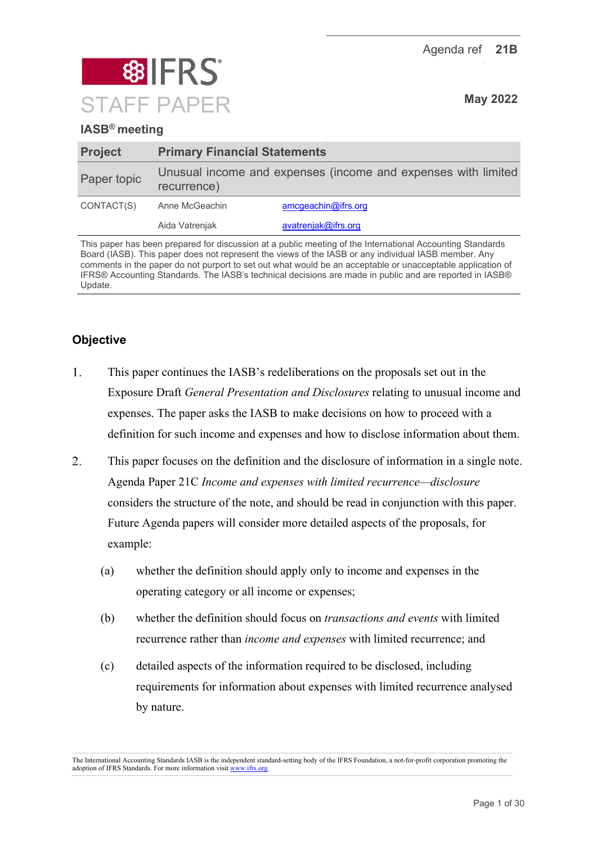Agenda ref **21B**



# **IASB® meeting**

| <b>Project</b> | <b>Primary Financial Statements</b>                                          |                     |  |
|----------------|------------------------------------------------------------------------------|---------------------|--|
| Paper topic    | Unusual income and expenses (income and expenses with limited<br>recurrence) |                     |  |
| CONTACT(S)     | Anne McGeachin                                                               | amcgeachin@ifrs.org |  |
|                | Aida Vatrenjak                                                               | avatrenjak@ifrs.org |  |

This paper has been prepared for discussion at a public meeting of the International Accounting Standards Board (IASB). This paper does not represent the views of the IASB or any individual IASB member. Any comments in the paper do not purport to set out what would be an acceptable or unacceptable application of IFRS® Accounting Standards. The IASB's technical decisions are made in public and are reported in IASB® Update.

# **Objective**

- $\mathbf{1}$ . This paper continues the IASB's redeliberations on the proposals set out in the Exposure Draft *General Presentation and Disclosures* relating to unusual income and expenses. The paper asks the IASB to make decisions on how to proceed with a definition for such income and expenses and how to disclose information about them.
- $\overline{2}$ . This paper focuses on the definition and the disclosure of information in a single note. Agenda Paper 21C *Income and expenses with limited recurrence—disclosure* considers the structure of the note, and should be read in conjunction with this paper. Future Agenda papers will consider more detailed aspects of the proposals, for example:
	- (a) whether the definition should apply only to income and expenses in the operating category or all income or expenses;
	- (b) whether the definition should focus on *transactions and events* with limited recurrence rather than *income and expenses* with limited recurrence; and
	- (c) detailed aspects of the information required to be disclosed, including requirements for information about expenses with limited recurrence analysed by nature.

The International Accounting Standards IASB is the independent standard-setting body of the IFRS Foundation, a not-for-profit corporation promoting the adoption of IFRS Standards. For more information visi[t www.ifrs.org.](http://www.ifrs.org/)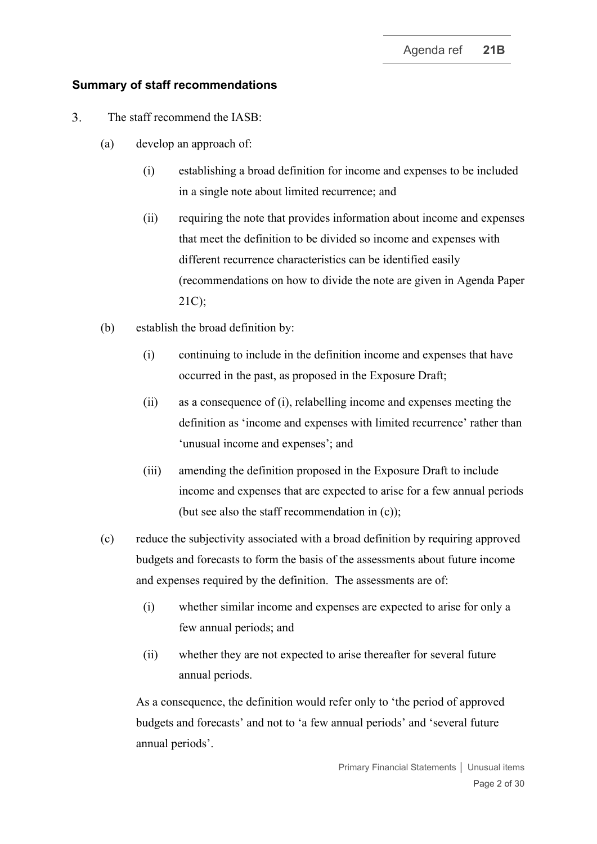### **Summary of staff recommendations**

- $\overline{3}$ . The staff recommend the IASB:
	- (a) develop an approach of:
		- (i) establishing a broad definition for income and expenses to be included in a single note about limited recurrence; and
		- (ii) requiring the note that provides information about income and expenses that meet the definition to be divided so income and expenses with different recurrence characteristics can be identified easily (recommendations on how to divide the note are given in Agenda Paper 21C);
	- (b) establish the broad definition by:
		- (i) continuing to include in the definition income and expenses that have occurred in the past, as proposed in the Exposure Draft;
		- (ii) as a consequence of (i), relabelling income and expenses meeting the definition as 'income and expenses with limited recurrence' rather than 'unusual income and expenses'; and
		- (iii) amending the definition proposed in the Exposure Draft to include income and expenses that are expected to arise for a few annual periods (but see also the staff recommendation in (c));
	- (c) reduce the subjectivity associated with a broad definition by requiring approved budgets and forecasts to form the basis of the assessments about future income and expenses required by the definition. The assessments are of:
		- (i) whether similar income and expenses are expected to arise for only a few annual periods; and
		- (ii) whether they are not expected to arise thereafter for several future annual periods.

As a consequence, the definition would refer only to 'the period of approved budgets and forecasts' and not to 'a few annual periods' and 'several future annual periods'.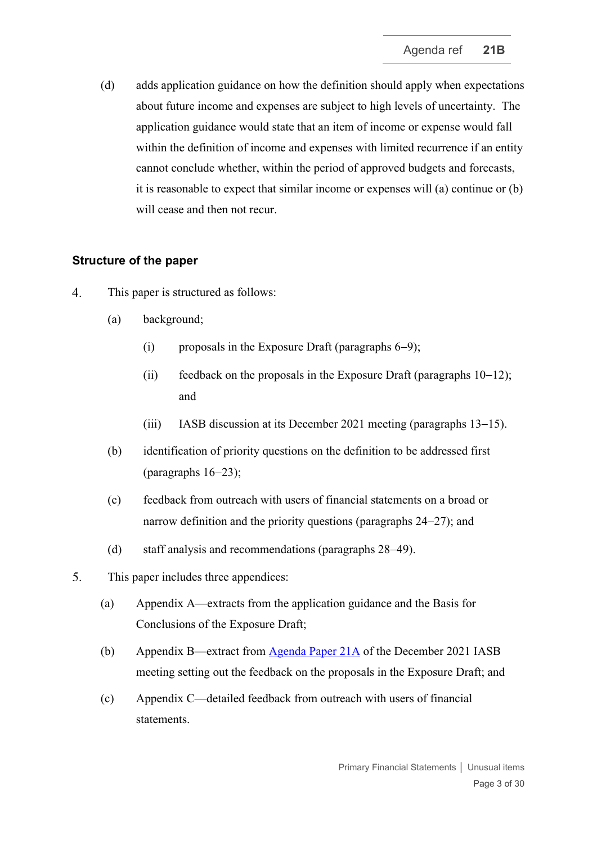(d) adds application guidance on how the definition should apply when expectations about future income and expenses are subject to high levels of uncertainty. The application guidance would state that an item of income or expense would fall within the definition of income and expenses with limited recurrence if an entity cannot conclude whether, within the period of approved budgets and forecasts, it is reasonable to expect that similar income or expenses will (a) continue or (b) will cease and then not recur.

# **Structure of the paper**

- $\overline{4}$ . This paper is structured as follows:
	- (a) background;
		- (i) proposals in the Exposure Draft (paragraphs [6](#page-3-0)−[9\)](#page-4-0);
		- (ii) feedback on the proposals in the Exposure Draft (paragraphs [10](#page-4-1)−[12\)](#page-4-2); and
		- (iii) IASB discussion at its December 2021 meeting (paragraphs [13](#page-5-0)−[15\)](#page-5-1).
	- (b) identification of priority questions on the definition to be addressed first (paragraphs [16](#page-6-0)−[23\)](#page-8-0);
	- (c) feedback from outreach with users of financial statements on a broad or narrow definition and the priority questions (paragraphs [24](#page-8-1)−[27\)](#page-9-0); and
	- (d) staff analysis and recommendations (paragraphs [28](#page-9-1)−[49\)](#page-16-0).
- $5<sub>1</sub>$ This paper includes three appendices:
	- (a) Appendix A—extracts from the application guidance and the Basis for Conclusions of the Exposure Draft;
	- (b) Appendix B—extract from [Agenda Paper 21A](https://www.ifrs.org/content/dam/ifrs/meetings/2021/december/iasb/ap21a-unusual-income-and-expenses.pdf) of the December 2021 IASB meeting setting out the feedback on the proposals in the Exposure Draft; and
	- (c) Appendix C—detailed feedback from outreach with users of financial statements.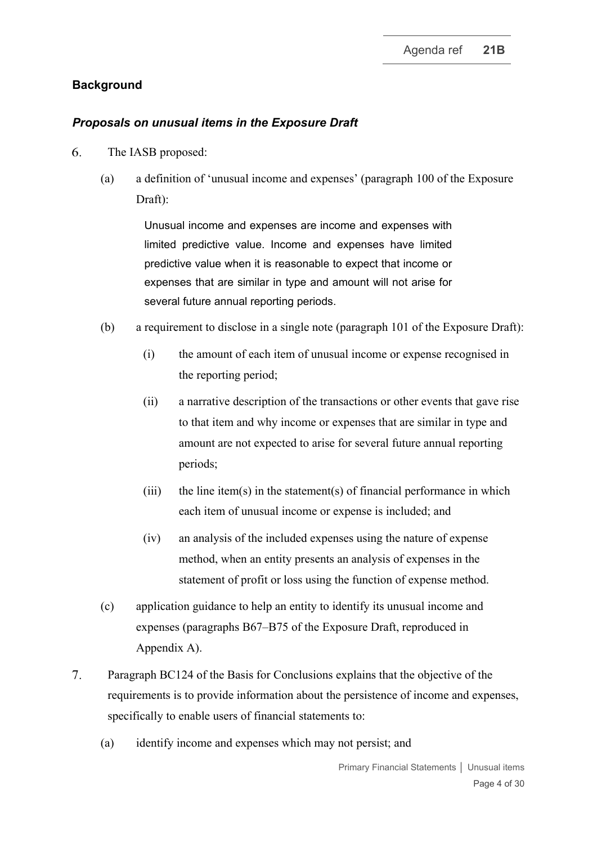## **Background**

### *Proposals on unusual items in the Exposure Draft*

- <span id="page-3-0"></span>6. The IASB proposed:
	- (a) a definition of 'unusual income and expenses' (paragraph 100 of the Exposure Draft):

Unusual income and expenses are income and expenses with limited predictive value. Income and expenses have limited predictive value when it is reasonable to expect that income or expenses that are similar in type and amount will not arise for several future annual reporting periods.

- (b) a requirement to disclose in a single note (paragraph 101 of the Exposure Draft):
	- (i) the amount of each item of unusual income or expense recognised in the reporting period;
	- (ii) a narrative description of the transactions or other events that gave rise to that item and why income or expenses that are similar in type and amount are not expected to arise for several future annual reporting periods;
	- (iii) the line item(s) in the statement(s) of financial performance in which each item of unusual income or expense is included; and
	- (iv) an analysis of the included expenses using the nature of expense method, when an entity presents an analysis of expenses in the statement of profit or loss using the function of expense method.
- (c) application guidance to help an entity to identify its unusual income and expenses (paragraphs B67–B75 of the Exposure Draft, reproduced in Appendix A).
- $7.$ Paragraph BC124 of the Basis for Conclusions explains that the objective of the requirements is to provide information about the persistence of income and expenses, specifically to enable users of financial statements to:
	- (a) identify income and expenses which may not persist; and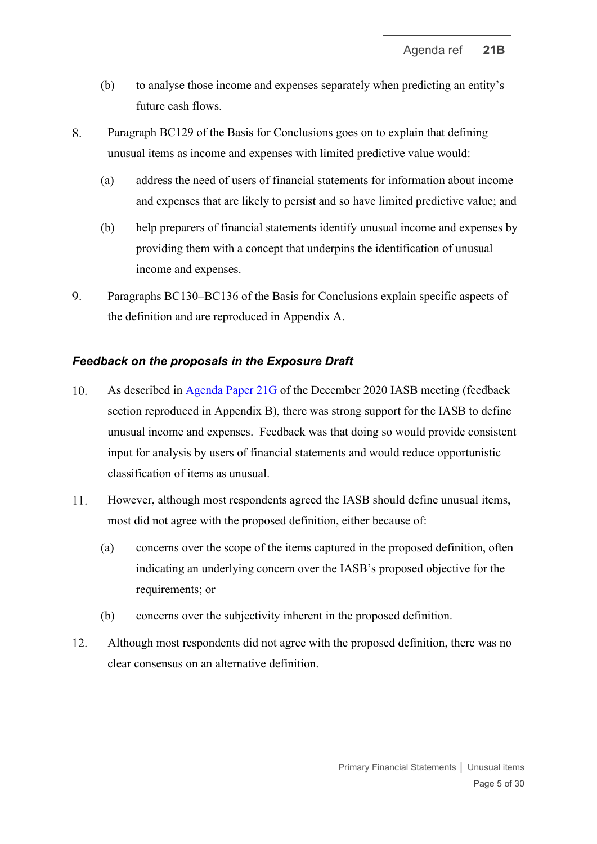- (b) to analyse those income and expenses separately when predicting an entity's future cash flows.
- 8. Paragraph BC129 of the Basis for Conclusions goes on to explain that defining unusual items as income and expenses with limited predictive value would:
	- (a) address the need of users of financial statements for information about income and expenses that are likely to persist and so have limited predictive value; and
	- (b) help preparers of financial statements identify unusual income and expenses by providing them with a concept that underpins the identification of unusual income and expenses.
- <span id="page-4-0"></span> $9<sub>1</sub>$ Paragraphs BC130–BC136 of the Basis for Conclusions explain specific aspects of the definition and are reproduced in Appendix A.

### *Feedback on the proposals in the Exposure Draft*

- <span id="page-4-1"></span> $10.$ As described in [Agenda Paper 21G](https://www.ifrs.org/content/dam/ifrs/meetings/2020/december/iasb/ap21g-pfs.pdf) of the December 2020 IASB meeting (feedback section reproduced in Appendix B), there was strong support for the IASB to define unusual income and expenses. Feedback was that doing so would provide consistent input for analysis by users of financial statements and would reduce opportunistic classification of items as unusual.
- $11.$ However, although most respondents agreed the IASB should define unusual items, most did not agree with the proposed definition, either because of:
	- (a) concerns over the scope of the items captured in the proposed definition, often indicating an underlying concern over the IASB's proposed objective for the requirements; or
	- (b) concerns over the subjectivity inherent in the proposed definition.
- <span id="page-4-2"></span>Although most respondents did not agree with the proposed definition, there was no  $12.$ clear consensus on an alternative definition.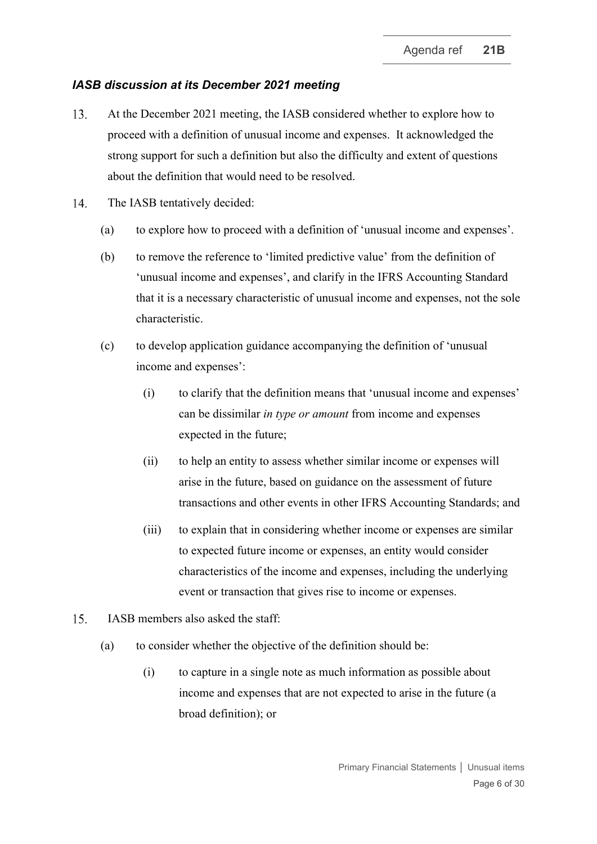## *IASB discussion at its December 2021 meeting*

- <span id="page-5-0"></span>13. At the December 2021 meeting, the IASB considered whether to explore how to proceed with a definition of unusual income and expenses. It acknowledged the strong support for such a definition but also the difficulty and extent of questions about the definition that would need to be resolved.
- $14.$ The IASB tentatively decided:
	- (a) to explore how to proceed with a definition of 'unusual income and expenses'.
	- (b) to remove the reference to 'limited predictive value' from the definition of 'unusual income and expenses', and clarify in the IFRS Accounting Standard that it is a necessary characteristic of unusual income and expenses, not the sole characteristic.
	- (c) to develop application guidance accompanying the definition of 'unusual income and expenses':
		- (i) to clarify that the definition means that 'unusual income and expenses' can be dissimilar *in type or amount* from income and expenses expected in the future;
		- (ii) to help an entity to assess whether similar income or expenses will arise in the future, based on guidance on the assessment of future transactions and other events in other IFRS Accounting Standards; and
		- (iii) to explain that in considering whether income or expenses are similar to expected future income or expenses, an entity would consider characteristics of the income and expenses, including the underlying event or transaction that gives rise to income or expenses.
- <span id="page-5-2"></span><span id="page-5-1"></span>15. IASB members also asked the staff:
	- (a) to consider whether the objective of the definition should be:
		- (i) to capture in a single note as much information as possible about income and expenses that are not expected to arise in the future (a broad definition); or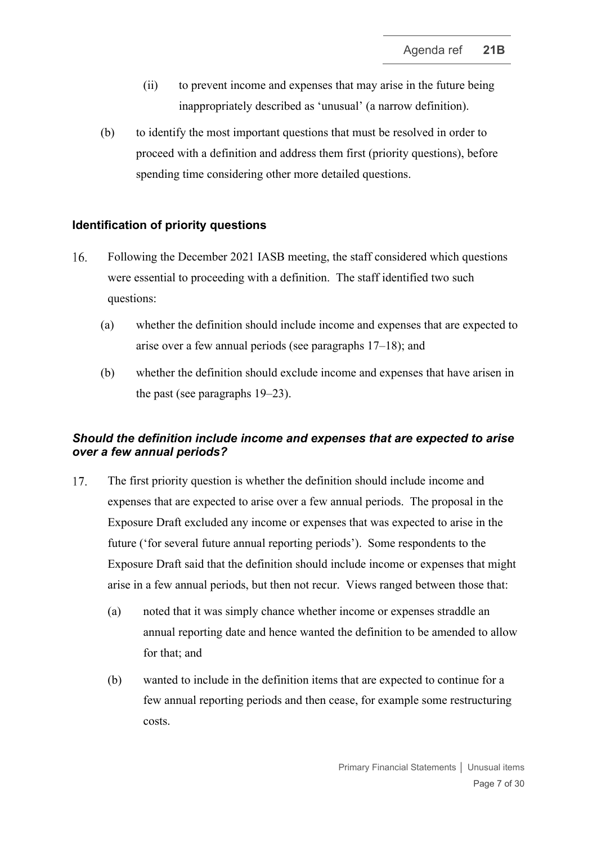- (ii) to prevent income and expenses that may arise in the future being inappropriately described as 'unusual' (a narrow definition).
- (b) to identify the most important questions that must be resolved in order to proceed with a definition and address them first (priority questions), before spending time considering other more detailed questions.

### **Identification of priority questions**

- <span id="page-6-0"></span>Following the December 2021 IASB meeting, the staff considered which questions 16. were essential to proceeding with a definition. The staff identified two such questions:
	- (a) whether the definition should include income and expenses that are expected to arise over a few annual periods (see paragraphs [17–](#page-6-1)[18\)](#page-7-0); and
	- (b) whether the definition should exclude income and expenses that have arisen in the past (see paragraphs [19](#page-7-1)[–23\)](#page-8-0).

# *Should the definition include income and expenses that are expected to arise over a few annual periods?*

- <span id="page-6-1"></span>The first priority question is whether the definition should include income and 17. expenses that are expected to arise over a few annual periods. The proposal in the Exposure Draft excluded any income or expenses that was expected to arise in the future ('for several future annual reporting periods'). Some respondents to the Exposure Draft said that the definition should include income or expenses that might arise in a few annual periods, but then not recur. Views ranged between those that:
	- (a) noted that it was simply chance whether income or expenses straddle an annual reporting date and hence wanted the definition to be amended to allow for that; and
	- (b) wanted to include in the definition items that are expected to continue for a few annual reporting periods and then cease, for example some restructuring costs.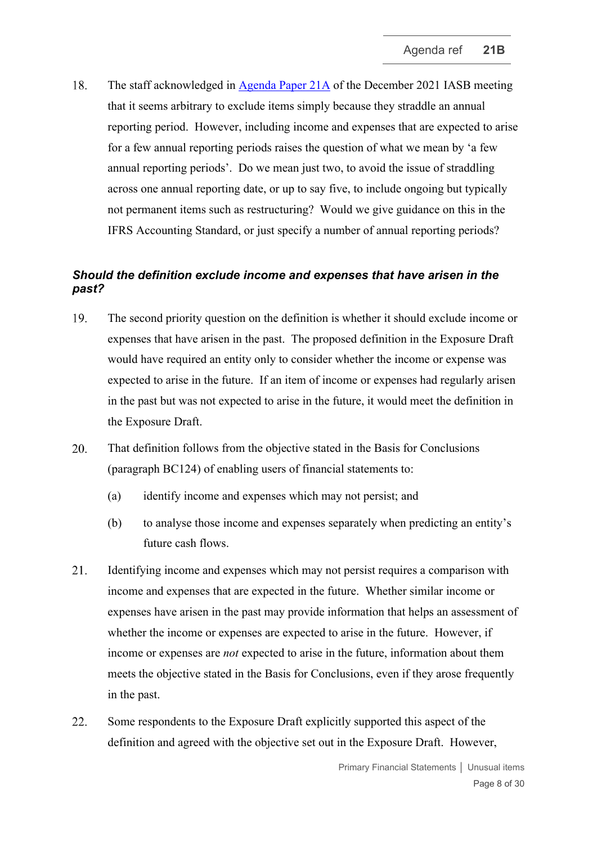<span id="page-7-0"></span>18. The staff acknowledged in [Agenda Paper 21A](https://www.ifrs.org/content/dam/ifrs/meetings/2021/december/iasb/ap21a-unusual-income-and-expenses.pdf) of the December 2021 IASB meeting that it seems arbitrary to exclude items simply because they straddle an annual reporting period. However, including income and expenses that are expected to arise for a few annual reporting periods raises the question of what we mean by 'a few annual reporting periods'. Do we mean just two, to avoid the issue of straddling across one annual reporting date, or up to say five, to include ongoing but typically not permanent items such as restructuring? Would we give guidance on this in the IFRS Accounting Standard, or just specify a number of annual reporting periods?

# *Should the definition exclude income and expenses that have arisen in the past?*

- <span id="page-7-1"></span>19. The second priority question on the definition is whether it should exclude income or expenses that have arisen in the past. The proposed definition in the Exposure Draft would have required an entity only to consider whether the income or expense was expected to arise in the future. If an item of income or expenses had regularly arisen in the past but was not expected to arise in the future, it would meet the definition in the Exposure Draft.
- 20. That definition follows from the objective stated in the Basis for Conclusions (paragraph BC124) of enabling users of financial statements to:
	- (a) identify income and expenses which may not persist; and
	- (b) to analyse those income and expenses separately when predicting an entity's future cash flows.
- <span id="page-7-3"></span>21. Identifying income and expenses which may not persist requires a comparison with income and expenses that are expected in the future. Whether similar income or expenses have arisen in the past may provide information that helps an assessment of whether the income or expenses are expected to arise in the future. However, if income or expenses are *not* expected to arise in the future, information about them meets the objective stated in the Basis for Conclusions, even if they arose frequently in the past.
- <span id="page-7-2"></span>22. Some respondents to the Exposure Draft explicitly supported this aspect of the definition and agreed with the objective set out in the Exposure Draft. However,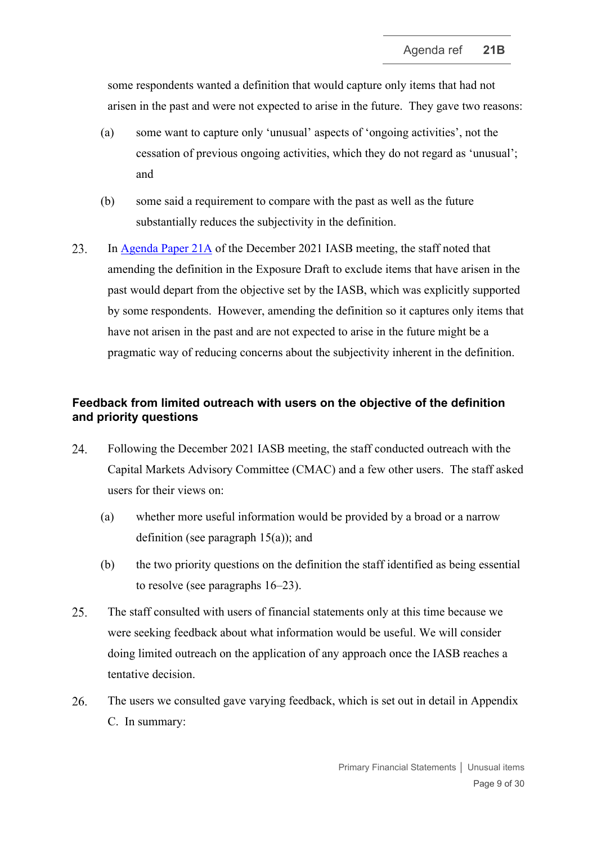some respondents wanted a definition that would capture only items that had not arisen in the past and were not expected to arise in the future. They gave two reasons:

- <span id="page-8-2"></span>(a) some want to capture only 'unusual' aspects of 'ongoing activities', not the cessation of previous ongoing activities, which they do not regard as 'unusual'; and
- <span id="page-8-3"></span>(b) some said a requirement to compare with the past as well as the future substantially reduces the subjectivity in the definition.
- <span id="page-8-0"></span>23. In [Agenda Paper 21A](https://www.ifrs.org/content/dam/ifrs/meetings/2021/december/iasb/ap21a-unusual-income-and-expenses.pdf) of the December 2021 IASB meeting, the staff noted that amending the definition in the Exposure Draft to exclude items that have arisen in the past would depart from the objective set by the IASB, which was explicitly supported by some respondents. However, amending the definition so it captures only items that have not arisen in the past and are not expected to arise in the future might be a pragmatic way of reducing concerns about the subjectivity inherent in the definition.

# **Feedback from limited outreach with users on the objective of the definition and priority questions**

- <span id="page-8-1"></span>24. Following the December 2021 IASB meeting, the staff conducted outreach with the Capital Markets Advisory Committee (CMAC) and a few other users. The staff asked users for their views on:
	- (a) whether more useful information would be provided by a broad or a narrow definition (see paragraph [15\(a\)\)](#page-5-2); and
	- (b) the two priority questions on the definition the staff identified as being essential to resolve (see paragraphs [16](#page-6-0)[–23\)](#page-8-0).
- 25. The staff consulted with users of financial statements only at this time because we were seeking feedback about what information would be useful. We will consider doing limited outreach on the application of any approach once the IASB reaches a tentative decision.
- 26. The users we consulted gave varying feedback, which is set out in detail in Appendix C. In summary: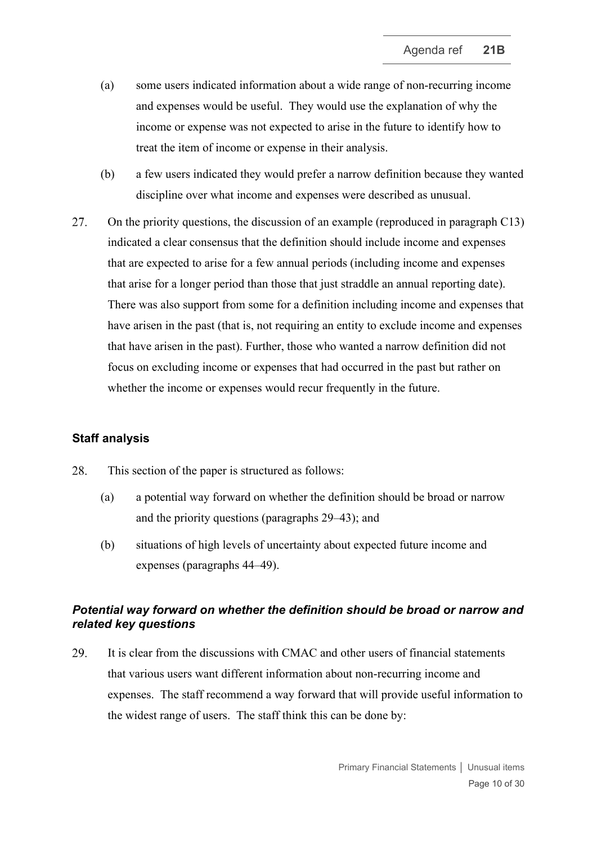- (a) some users indicated information about a wide range of non-recurring income and expenses would be useful. They would use the explanation of why the income or expense was not expected to arise in the future to identify how to treat the item of income or expense in their analysis.
- (b) a few users indicated they would prefer a narrow definition because they wanted discipline over what income and expenses were described as unusual.
- <span id="page-9-3"></span><span id="page-9-0"></span>27. On the priority questions, the discussion of an example (reproduced in paragraph C13) indicated a clear consensus that the definition should include income and expenses that are expected to arise for a few annual periods (including income and expenses that arise for a longer period than those that just straddle an annual reporting date). There was also support from some for a definition including income and expenses that have arisen in the past (that is, not requiring an entity to exclude income and expenses that have arisen in the past). Further, those who wanted a narrow definition did not focus on excluding income or expenses that had occurred in the past but rather on whether the income or expenses would recur frequently in the future.

### **Staff analysis**

- <span id="page-9-1"></span>28. This section of the paper is structured as follows:
	- (a) a potential way forward on whether the definition should be broad or narrow and the priority questions (paragraphs [29–](#page-9-2)[43\)](#page-14-0); and
	- (b) situations of high levels of uncertainty about expected future income and expenses (paragraphs [44–](#page-15-0)[49\)](#page-16-0).

# *Potential way forward on whether the definition should be broad or narrow and related key questions*

<span id="page-9-2"></span>29. It is clear from the discussions with CMAC and other users of financial statements that various users want different information about non-recurring income and expenses. The staff recommend a way forward that will provide useful information to the widest range of users. The staff think this can be done by: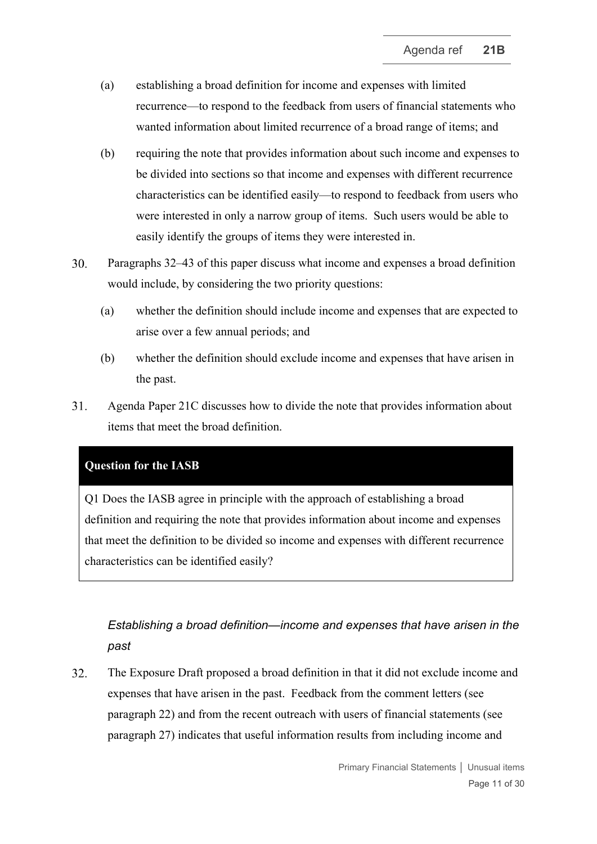- (a) establishing a broad definition for income and expenses with limited recurrence—to respond to the feedback from users of financial statements who wanted information about limited recurrence of a broad range of items; and
- (b) requiring the note that provides information about such income and expenses to be divided into sections so that income and expenses with different recurrence characteristics can be identified easily—to respond to feedback from users who were interested in only a narrow group of items. Such users would be able to easily identify the groups of items they were interested in.
- 30. Paragraphs [32–](#page-10-0)[43](#page-14-0) of this paper discuss what income and expenses a broad definition would include, by considering the two priority questions:
	- (a) whether the definition should include income and expenses that are expected to arise over a few annual periods; and
	- (b) whether the definition should exclude income and expenses that have arisen in the past.
- $31.$ Agenda Paper 21C discusses how to divide the note that provides information about items that meet the broad definition.

# **Question for the IASB**

Q1 Does the IASB agree in principle with the approach of establishing a broad definition and requiring the note that provides information about income and expenses that meet the definition to be divided so income and expenses with different recurrence characteristics can be identified easily?

# *Establishing a broad definition—income and expenses that have arisen in the past*

<span id="page-10-0"></span> $32.$ The Exposure Draft proposed a broad definition in that it did not exclude income and expenses that have arisen in the past. Feedback from the comment letters (see paragraph [22\)](#page-7-2) and from the recent outreach with users of financial statements (see paragraph [27\)](#page-9-0) indicates that useful information results from including income and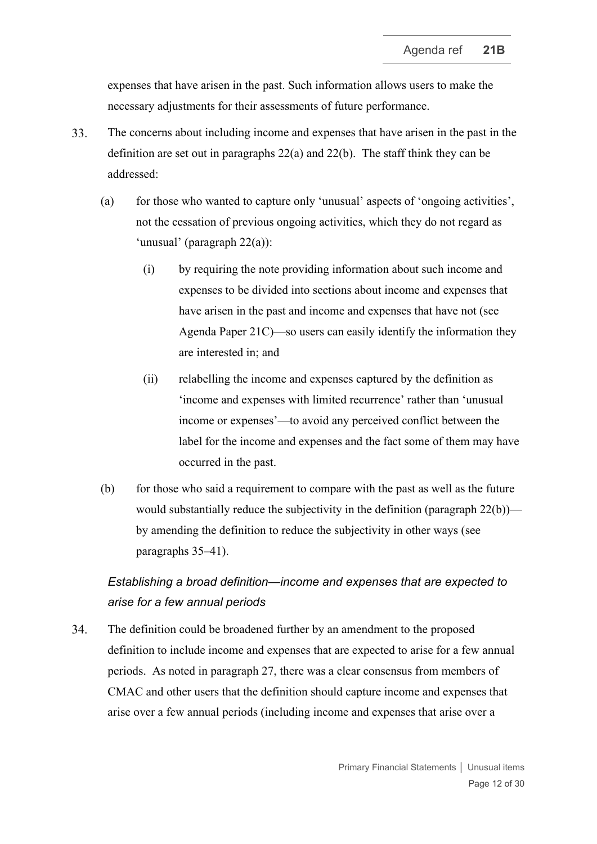expenses that have arisen in the past. Such information allows users to make the necessary adjustments for their assessments of future performance.

- <span id="page-11-0"></span>33. The concerns about including income and expenses that have arisen in the past in the definition are set out in paragraphs [22\(a\)](#page-8-2) and [22\(b\).](#page-8-3) The staff think they can be addressed:
	- (a) for those who wanted to capture only 'unusual' aspects of 'ongoing activities', not the cessation of previous ongoing activities, which they do not regard as 'unusual' (paragraph [22\(a\)\)](#page-8-2):
		- (i) by requiring the note providing information about such income and expenses to be divided into sections about income and expenses that have arisen in the past and income and expenses that have not (see Agenda Paper 21C)—so users can easily identify the information they are interested in; and
		- (ii) relabelling the income and expenses captured by the definition as 'income and expenses with limited recurrence' rather than 'unusual income or expenses'—to avoid any perceived conflict between the label for the income and expenses and the fact some of them may have occurred in the past.
	- (b) for those who said a requirement to compare with the past as well as the future would substantially reduce the subjectivity in the definition (paragraph [22\(b\)\)](#page-8-3) by amending the definition to reduce the subjectivity in other ways (see paragraphs 35[–41\)](#page-13-0).

# <span id="page-11-1"></span>*Establishing a broad definition—income and expenses that are expected to arise for a few annual periods*

<span id="page-11-2"></span>34. The definition could be broadened further by an amendment to the proposed definition to include income and expenses that are expected to arise for a few annual periods. As noted in paragraph [27,](#page-9-3) there was a clear consensus from members of CMAC and other users that the definition should capture income and expenses that arise over a few annual periods (including income and expenses that arise over a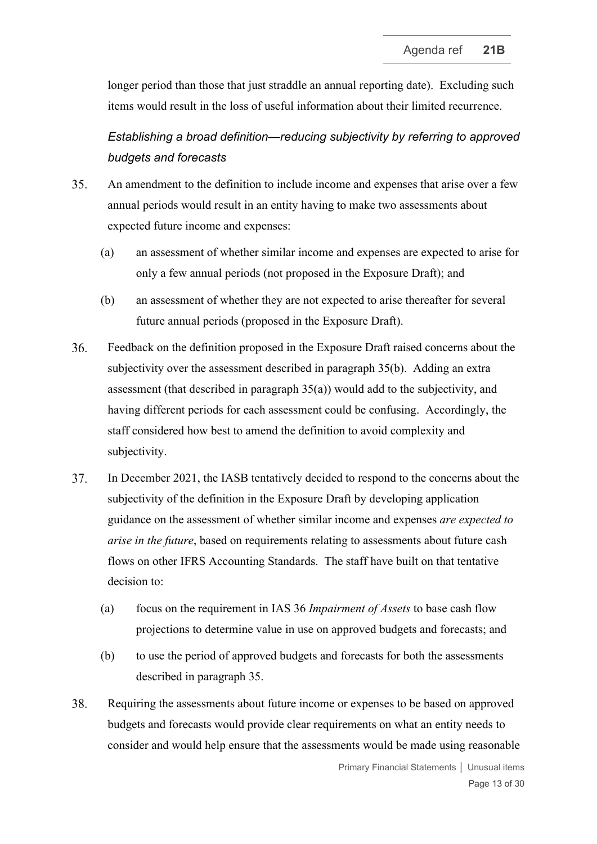longer period than those that just straddle an annual reporting date). Excluding such items would result in the loss of useful information about their limited recurrence.

*Establishing a broad definition—reducing subjectivity by referring to approved budgets and forecasts*

- <span id="page-12-2"></span><span id="page-12-1"></span>35. An amendment to the definition to include income and expenses that arise over a few annual periods would result in an entity having to make two assessments about expected future income and expenses:
	- (a) an assessment of whether similar income and expenses are expected to arise for only a few annual periods (not proposed in the Exposure Draft); and
	- (b) an assessment of whether they are not expected to arise thereafter for several future annual periods (proposed in the Exposure Draft).
- <span id="page-12-0"></span>36. Feedback on the definition proposed in the Exposure Draft raised concerns about the subjectivity over the assessment described in paragraph [35\(b\).](#page-12-0) Adding an extra assessment (that described in paragraph [35\(a\)\)](#page-12-1) would add to the subjectivity, and having different periods for each assessment could be confusing. Accordingly, the staff considered how best to amend the definition to avoid complexity and subjectivity.
- 37. In December 2021, the IASB tentatively decided to respond to the concerns about the subjectivity of the definition in the Exposure Draft by developing application guidance on the assessment of whether similar income and expenses *are expected to arise in the future*, based on requirements relating to assessments about future cash flows on other IFRS Accounting Standards. The staff have built on that tentative decision to:
	- (a) focus on the requirement in IAS 36 *Impairment of Assets* to base cash flow projections to determine value in use on approved budgets and forecasts; and
	- (b) to use the period of approved budgets and forecasts for both the assessments described in paragraph [35.](#page-12-2)
- <span id="page-12-3"></span>38. Requiring the assessments about future income or expenses to be based on approved budgets and forecasts would provide clear requirements on what an entity needs to consider and would help ensure that the assessments would be made using reasonable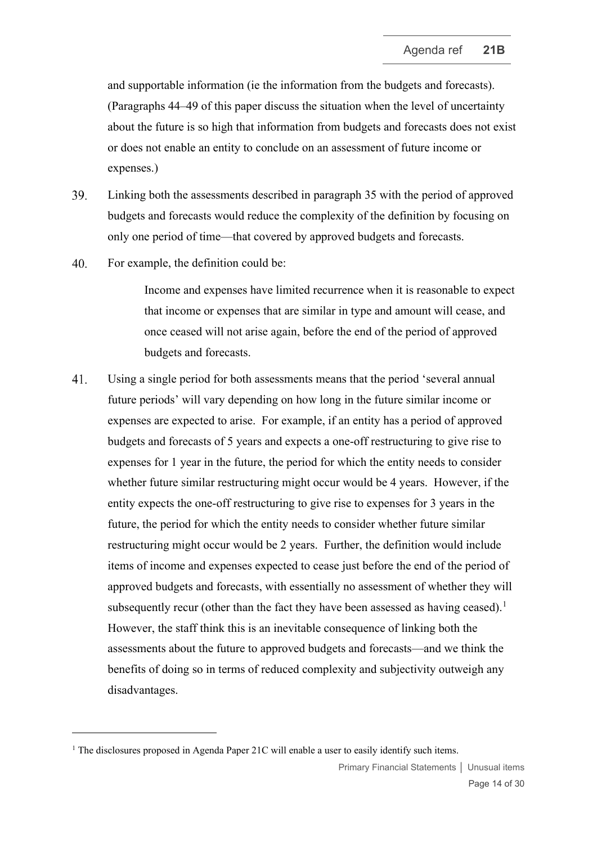and supportable information (ie the information from the budgets and forecasts). (Paragraphs [44–](#page-15-0)[49](#page-16-0) of this paper discuss the situation when the level of uncertainty about the future is so high that information from budgets and forecasts does not exist or does not enable an entity to conclude on an assessment of future income or expenses.)

- 39. Linking both the assessments described in paragraph [35](#page-12-2) with the period of approved budgets and forecasts would reduce the complexity of the definition by focusing on only one period of time—that covered by approved budgets and forecasts.
- 40. For example, the definition could be:

Income and expenses have limited recurrence when it is reasonable to expect that income or expenses that are similar in type and amount will cease, and once ceased will not arise again, before the end of the period of approved budgets and forecasts.

<span id="page-13-0"></span>41. Using a single period for both assessments means that the period 'several annual future periods' will vary depending on how long in the future similar income or expenses are expected to arise. For example, if an entity has a period of approved budgets and forecasts of 5 years and expects a one-off restructuring to give rise to expenses for 1 year in the future, the period for which the entity needs to consider whether future similar restructuring might occur would be 4 years. However, if the entity expects the one-off restructuring to give rise to expenses for 3 years in the future, the period for which the entity needs to consider whether future similar restructuring might occur would be 2 years. Further, the definition would include items of income and expenses expected to cease just before the end of the period of approved budgets and forecasts, with essentially no assessment of whether they will subsequently recur (other than the fact they have been assessed as having ceased).<sup>[1](#page-13-1)</sup> However, the staff think this is an inevitable consequence of linking both the assessments about the future to approved budgets and forecasts—and we think the benefits of doing so in terms of reduced complexity and subjectivity outweigh any disadvantages.

<span id="page-13-1"></span><sup>&</sup>lt;sup>1</sup> The disclosures proposed in Agenda Paper 21C will enable a user to easily identify such items.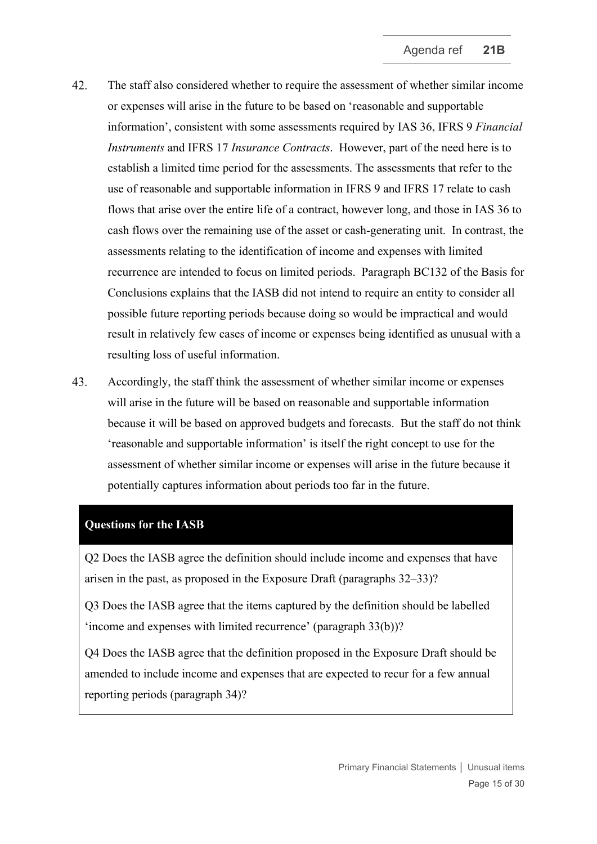- 42. The staff also considered whether to require the assessment of whether similar income or expenses will arise in the future to be based on 'reasonable and supportable information', consistent with some assessments required by IAS 36, IFRS 9 *Financial Instruments* and IFRS 17 *Insurance Contracts*. However, part of the need here is to establish a limited time period for the assessments. The assessments that refer to the use of reasonable and supportable information in IFRS 9 and IFRS 17 relate to cash flows that arise over the entire life of a contract, however long, and those in IAS 36 to cash flows over the remaining use of the asset or cash-generating unit. In contrast, the assessments relating to the identification of income and expenses with limited recurrence are intended to focus on limited periods. Paragraph BC132 of the Basis for Conclusions explains that the IASB did not intend to require an entity to consider all possible future reporting periods because doing so would be impractical and would result in relatively few cases of income or expenses being identified as unusual with a resulting loss of useful information.
- <span id="page-14-0"></span>43. Accordingly, the staff think the assessment of whether similar income or expenses will arise in the future will be based on reasonable and supportable information because it will be based on approved budgets and forecasts. But the staff do not think 'reasonable and supportable information' is itself the right concept to use for the assessment of whether similar income or expenses will arise in the future because it potentially captures information about periods too far in the future.

### **Questions for the IASB**

Q2 Does the IASB agree the definition should include income and expenses that have arisen in the past, as proposed in the Exposure Draft (paragraphs [32](#page-10-0)[–33\)](#page-11-0)?

Q3 Does the IASB agree that the items captured by the definition should be labelled 'income and expenses with limited recurrence' (paragraph [33\(b\)\)](#page-11-1)?

Q4 Does the IASB agree that the definition proposed in the Exposure Draft should be amended to include income and expenses that are expected to recur for a few annual reporting periods (paragraph [34\)](#page-11-2)?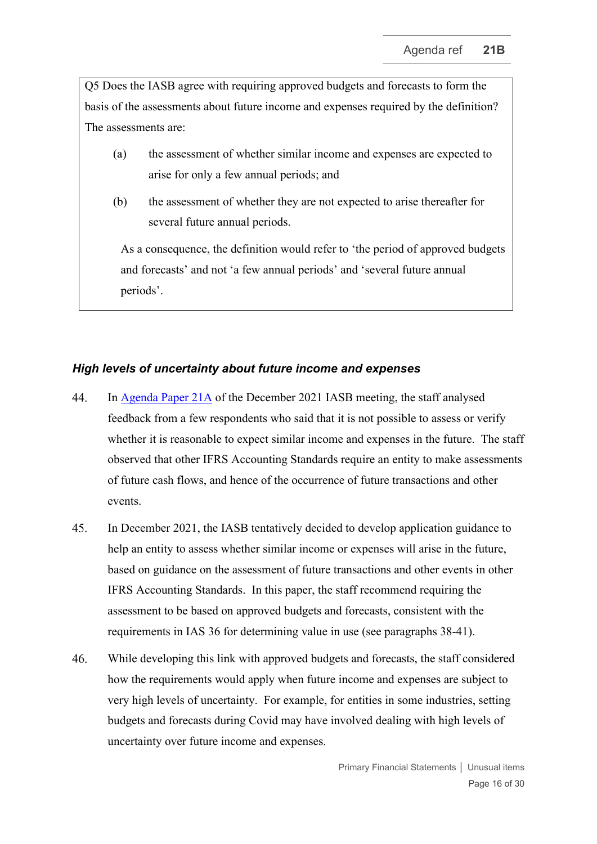Q5 Does the IASB agree with requiring approved budgets and forecasts to form the basis of the assessments about future income and expenses required by the definition? The assessments are:

- (a) the assessment of whether similar income and expenses are expected to arise for only a few annual periods; and
- (b) the assessment of whether they are not expected to arise thereafter for several future annual periods.

As a consequence, the definition would refer to 'the period of approved budgets and forecasts' and not 'a few annual periods' and 'several future annual periods'.

# *High levels of uncertainty about future income and expenses*

- <span id="page-15-0"></span>44. In [Agenda Paper 21A](https://www.ifrs.org/content/dam/ifrs/meetings/2021/december/iasb/ap21a-unusual-income-and-expenses.pdf) of the December 2021 IASB meeting, the staff analysed feedback from a few respondents who said that it is not possible to assess or verify whether it is reasonable to expect similar income and expenses in the future. The staff observed that other IFRS Accounting Standards require an entity to make assessments of future cash flows, and hence of the occurrence of future transactions and other events.
- 45. In December 2021, the IASB tentatively decided to develop application guidance to help an entity to assess whether similar income or expenses will arise in the future, based on guidance on the assessment of future transactions and other events in other IFRS Accounting Standards. In this paper, the staff recommend requiring the assessment to be based on approved budgets and forecasts, consistent with the requirements in IAS 36 for determining value in use (see paragraphs [38](#page-12-3)[-41\)](#page-13-0).
- $46.$ While developing this link with approved budgets and forecasts, the staff considered how the requirements would apply when future income and expenses are subject to very high levels of uncertainty. For example, for entities in some industries, setting budgets and forecasts during Covid may have involved dealing with high levels of uncertainty over future income and expenses.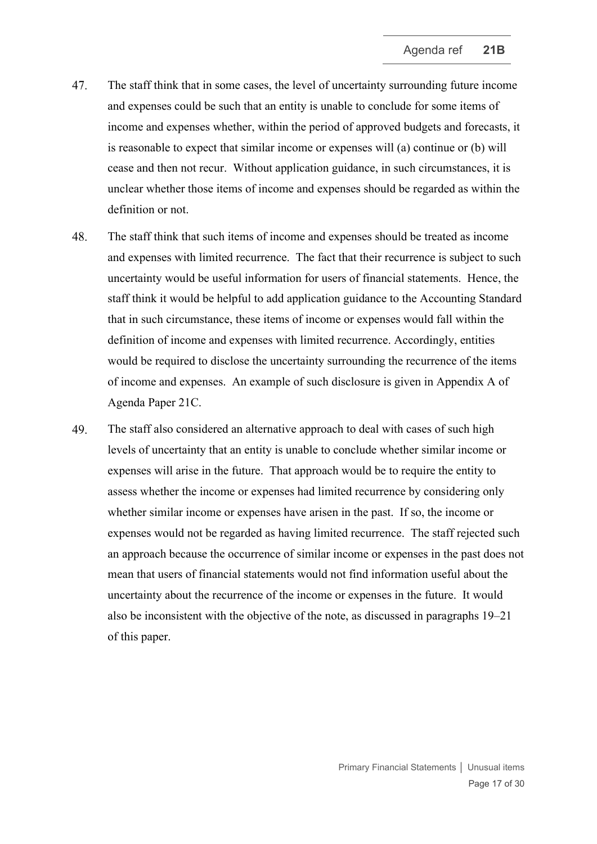- 47. The staff think that in some cases, the level of uncertainty surrounding future income and expenses could be such that an entity is unable to conclude for some items of income and expenses whether, within the period of approved budgets and forecasts, it is reasonable to expect that similar income or expenses will (a) continue or (b) will cease and then not recur. Without application guidance, in such circumstances, it is unclear whether those items of income and expenses should be regarded as within the definition or not.
- 48. The staff think that such items of income and expenses should be treated as income and expenses with limited recurrence. The fact that their recurrence is subject to such uncertainty would be useful information for users of financial statements. Hence, the staff think it would be helpful to add application guidance to the Accounting Standard that in such circumstance, these items of income or expenses would fall within the definition of income and expenses with limited recurrence. Accordingly, entities would be required to disclose the uncertainty surrounding the recurrence of the items of income and expenses. An example of such disclosure is given in Appendix A of Agenda Paper 21C.
- <span id="page-16-0"></span>49. The staff also considered an alternative approach to deal with cases of such high levels of uncertainty that an entity is unable to conclude whether similar income or expenses will arise in the future. That approach would be to require the entity to assess whether the income or expenses had limited recurrence by considering only whether similar income or expenses have arisen in the past. If so, the income or expenses would not be regarded as having limited recurrence. The staff rejected such an approach because the occurrence of similar income or expenses in the past does not mean that users of financial statements would not find information useful about the uncertainty about the recurrence of the income or expenses in the future. It would also be inconsistent with the objective of the note, as discussed in paragraphs [19](#page-7-1)[–21](#page-7-3) of this paper.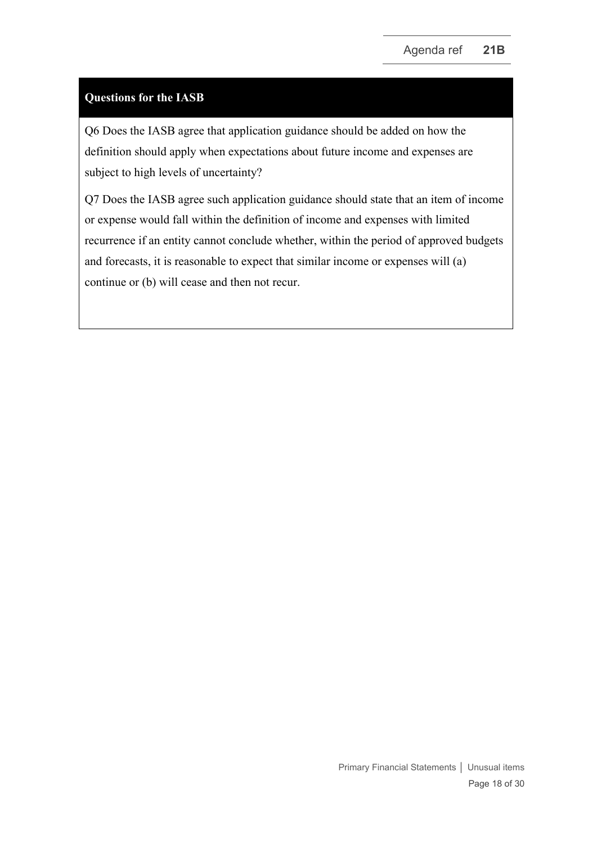# **Questions for the IASB**

Q6 Does the IASB agree that application guidance should be added on how the definition should apply when expectations about future income and expenses are subject to high levels of uncertainty?

Q7 Does the IASB agree such application guidance should state that an item of income or expense would fall within the definition of income and expenses with limited recurrence if an entity cannot conclude whether, within the period of approved budgets and forecasts, it is reasonable to expect that similar income or expenses will (a) continue or (b) will cease and then not recur.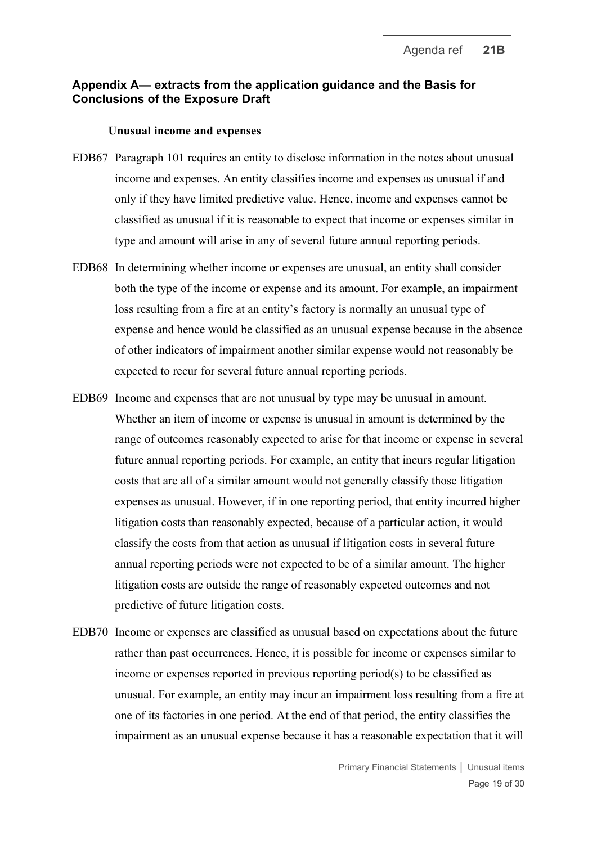### **Appendix A— extracts from the application guidance and the Basis for Conclusions of the Exposure Draft**

#### **Unusual income and expenses**

- EDB67 Paragraph 101 requires an entity to disclose information in the notes about unusual income and expenses. An entity classifies income and expenses as unusual if and only if they have limited predictive value. Hence, income and expenses cannot be classified as unusual if it is reasonable to expect that income or expenses similar in type and amount will arise in any of several future annual reporting periods.
- EDB68 In determining whether income or expenses are unusual, an entity shall consider both the type of the income or expense and its amount. For example, an impairment loss resulting from a fire at an entity's factory is normally an unusual type of expense and hence would be classified as an unusual expense because in the absence of other indicators of impairment another similar expense would not reasonably be expected to recur for several future annual reporting periods.
- EDB69 Income and expenses that are not unusual by type may be unusual in amount. Whether an item of income or expense is unusual in amount is determined by the range of outcomes reasonably expected to arise for that income or expense in several future annual reporting periods. For example, an entity that incurs regular litigation costs that are all of a similar amount would not generally classify those litigation expenses as unusual. However, if in one reporting period, that entity incurred higher litigation costs than reasonably expected, because of a particular action, it would classify the costs from that action as unusual if litigation costs in several future annual reporting periods were not expected to be of a similar amount. The higher litigation costs are outside the range of reasonably expected outcomes and not predictive of future litigation costs.
- EDB70 Income or expenses are classified as unusual based on expectations about the future rather than past occurrences. Hence, it is possible for income or expenses similar to income or expenses reported in previous reporting period(s) to be classified as unusual. For example, an entity may incur an impairment loss resulting from a fire at one of its factories in one period. At the end of that period, the entity classifies the impairment as an unusual expense because it has a reasonable expectation that it will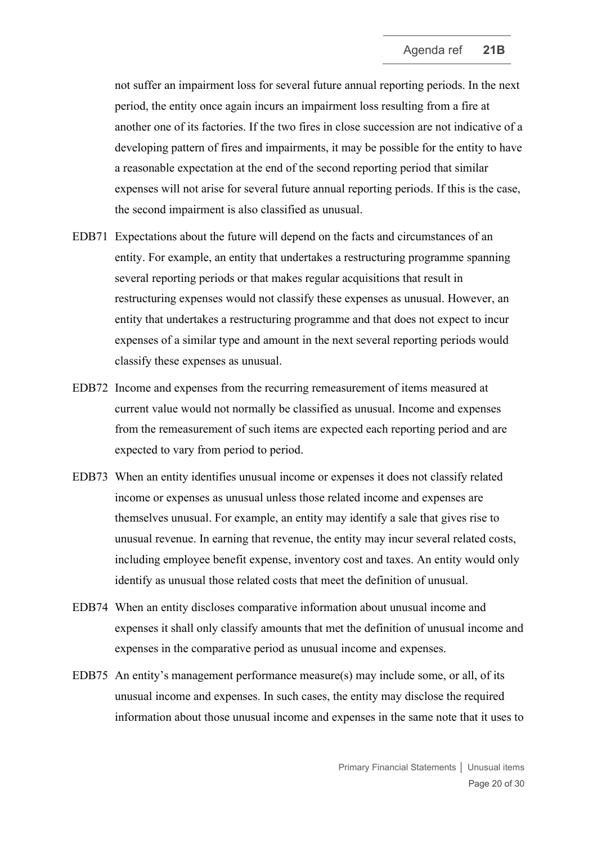not suffer an impairment loss for several future annual reporting periods. In the next period, the entity once again incurs an impairment loss resulting from a fire at another one of its factories. If the two fires in close succession are not indicative of a developing pattern of fires and impairments, it may be possible for the entity to have a reasonable expectation at the end of the second reporting period that similar expenses will not arise for several future annual reporting periods. If this is the case, the second impairment is also classified as unusual.

- EDB71 Expectations about the future will depend on the facts and circumstances of an entity. For example, an entity that undertakes a restructuring programme spanning several reporting periods or that makes regular acquisitions that result in restructuring expenses would not classify these expenses as unusual. However, an entity that undertakes a restructuring programme and that does not expect to incur expenses of a similar type and amount in the next several reporting periods would classify these expenses as unusual.
- EDB72 Income and expenses from the recurring remeasurement of items measured at current value would not normally be classified as unusual. Income and expenses from the remeasurement of such items are expected each reporting period and are expected to vary from period to period.
- EDB73 When an entity identifies unusual income or expenses it does not classify related income or expenses as unusual unless those related income and expenses are themselves unusual. For example, an entity may identify a sale that gives rise to unusual revenue. In earning that revenue, the entity may incur several related costs, including employee benefit expense, inventory cost and taxes. An entity would only identify as unusual those related costs that meet the definition of unusual.
- EDB74 When an entity discloses comparative information about unusual income and expenses it shall only classify amounts that met the definition of unusual income and expenses in the comparative period as unusual income and expenses.
- EDB75 An entity's management performance measure(s) may include some, or all, of its unusual income and expenses. In such cases, the entity may disclose the required information about those unusual income and expenses in the same note that it uses to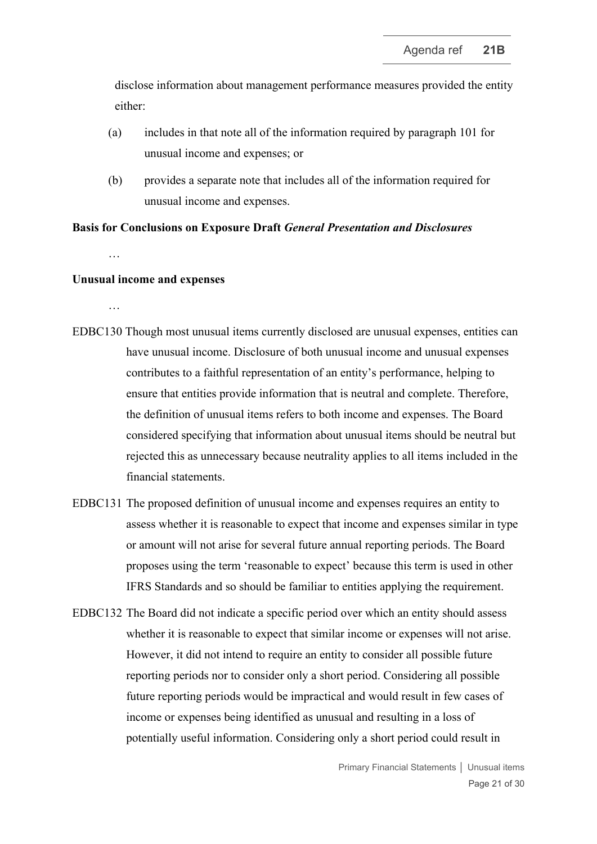disclose information about management performance measures provided the entity either:

- (a) includes in that note all of the information required by paragraph 101 for unusual income and expenses; or
- (b) provides a separate note that includes all of the information required for unusual income and expenses.

#### **Basis for Conclusions on Exposure Draft** *General Presentation and Disclosures*

…

### **Unusual income and expenses**

…

- EDBC130 Though most unusual items currently disclosed are unusual expenses, entities can have unusual income. Disclosure of both unusual income and unusual expenses contributes to a faithful representation of an entity's performance, helping to ensure that entities provide information that is neutral and complete. Therefore, the definition of unusual items refers to both income and expenses. The Board considered specifying that information about unusual items should be neutral but rejected this as unnecessary because neutrality applies to all items included in the financial statements.
- EDBC131 The proposed definition of unusual income and expenses requires an entity to assess whether it is reasonable to expect that income and expenses similar in type or amount will not arise for several future annual reporting periods. The Board proposes using the term 'reasonable to expect' because this term is used in other IFRS Standards and so should be familiar to entities applying the requirement.
- EDBC132 The Board did not indicate a specific period over which an entity should assess whether it is reasonable to expect that similar income or expenses will not arise. However, it did not intend to require an entity to consider all possible future reporting periods nor to consider only a short period. Considering all possible future reporting periods would be impractical and would result in few cases of income or expenses being identified as unusual and resulting in a loss of potentially useful information. Considering only a short period could result in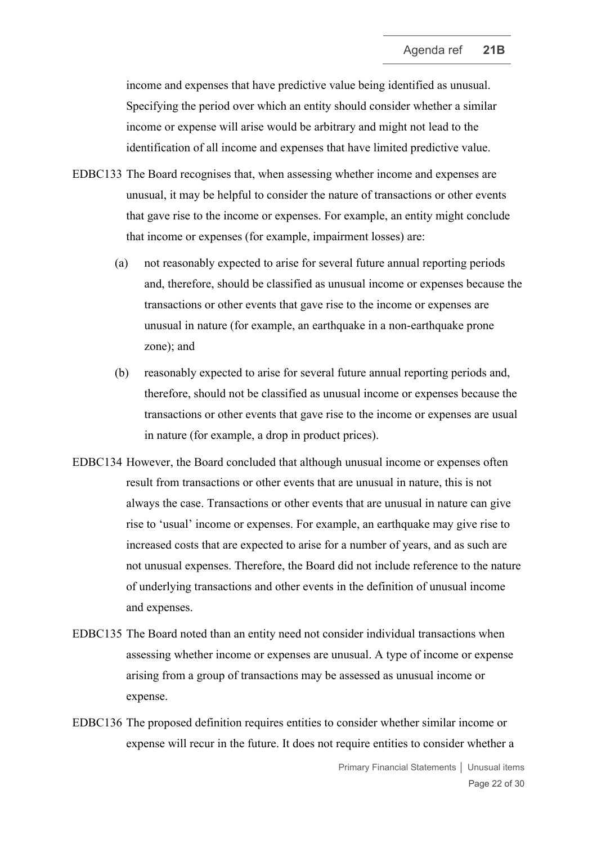income and expenses that have predictive value being identified as unusual. Specifying the period over which an entity should consider whether a similar income or expense will arise would be arbitrary and might not lead to the identification of all income and expenses that have limited predictive value.

- EDBC133 The Board recognises that, when assessing whether income and expenses are unusual, it may be helpful to consider the nature of transactions or other events that gave rise to the income or expenses. For example, an entity might conclude that income or expenses (for example, impairment losses) are:
	- (a) not reasonably expected to arise for several future annual reporting periods and, therefore, should be classified as unusual income or expenses because the transactions or other events that gave rise to the income or expenses are unusual in nature (for example, an earthquake in a non-earthquake prone zone); and
	- (b) reasonably expected to arise for several future annual reporting periods and, therefore, should not be classified as unusual income or expenses because the transactions or other events that gave rise to the income or expenses are usual in nature (for example, a drop in product prices).
- EDBC134 However, the Board concluded that although unusual income or expenses often result from transactions or other events that are unusual in nature, this is not always the case. Transactions or other events that are unusual in nature can give rise to 'usual' income or expenses. For example, an earthquake may give rise to increased costs that are expected to arise for a number of years, and as such are not unusual expenses. Therefore, the Board did not include reference to the nature of underlying transactions and other events in the definition of unusual income and expenses.
- EDBC135 The Board noted than an entity need not consider individual transactions when assessing whether income or expenses are unusual. A type of income or expense arising from a group of transactions may be assessed as unusual income or expense.
- EDBC136 The proposed definition requires entities to consider whether similar income or expense will recur in the future. It does not require entities to consider whether a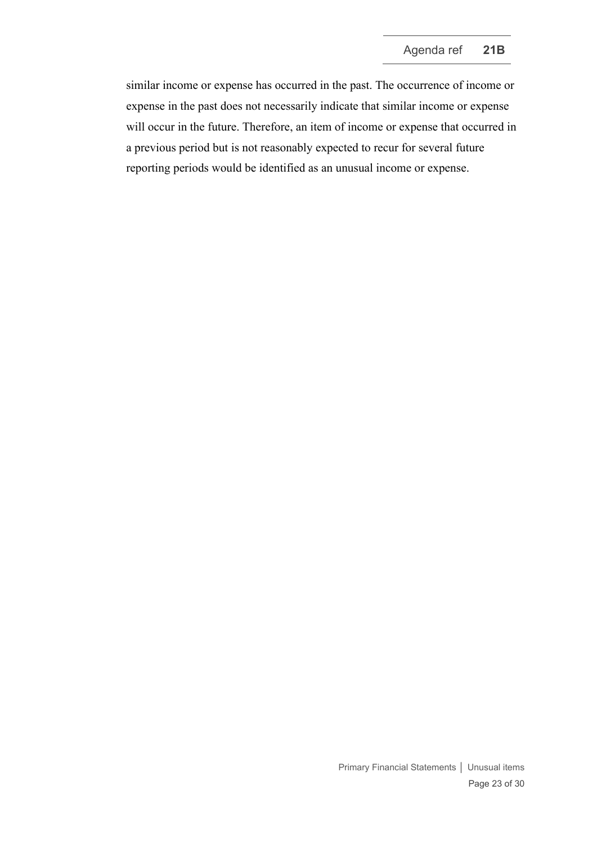similar income or expense has occurred in the past. The occurrence of income or expense in the past does not necessarily indicate that similar income or expense will occur in the future. Therefore, an item of income or expense that occurred in a previous period but is not reasonably expected to recur for several future reporting periods would be identified as an unusual income or expense.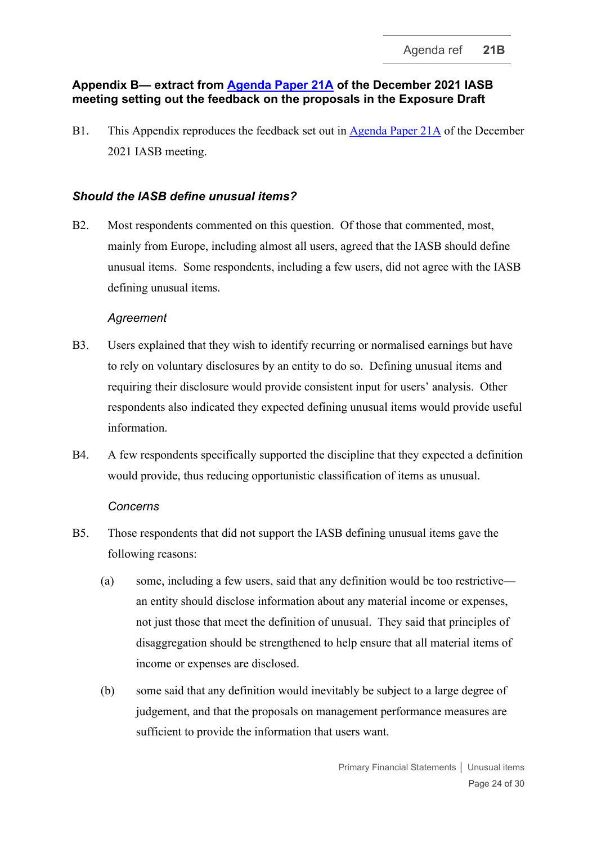# **Appendix B— extract from Agenda Paper 21A of the December 2021 IASB meeting setting out the fe[edback on the propo](https://www.ifrs.org/content/dam/ifrs/meetings/2021/december/iasb/ap21a-unusual-income-and-expenses.pdf)sals in the Exposure Draft**

B1. This Appendix reproduces the feedback set out in [Agenda Paper 21A](https://www.ifrs.org/content/dam/ifrs/meetings/2021/december/iasb/ap21a-unusual-income-and-expenses.pdf) of the December 2021 IASB meeting.

# *Should the IASB define unusual items?*

B2. Most respondents commented on this question. Of those that commented, most, mainly from Europe, including almost all users, agreed that the IASB should define unusual items. Some respondents, including a few users, did not agree with the IASB defining unusual items.

### *Agreement*

- B3. Users explained that they wish to identify recurring or normalised earnings but have to rely on voluntary disclosures by an entity to do so. Defining unusual items and requiring their disclosure would provide consistent input for users' analysis. Other respondents also indicated they expected defining unusual items would provide useful information.
- B4. A few respondents specifically supported the discipline that they expected a definition would provide, thus reducing opportunistic classification of items as unusual.

# *Concerns*

- B5. Those respondents that did not support the IASB defining unusual items gave the following reasons:
	- (a) some, including a few users, said that any definition would be too restrictive an entity should disclose information about any material income or expenses, not just those that meet the definition of unusual. They said that principles of disaggregation should be strengthened to help ensure that all material items of income or expenses are disclosed.
	- (b) some said that any definition would inevitably be subject to a large degree of judgement, and that the proposals on management performance measures are sufficient to provide the information that users want.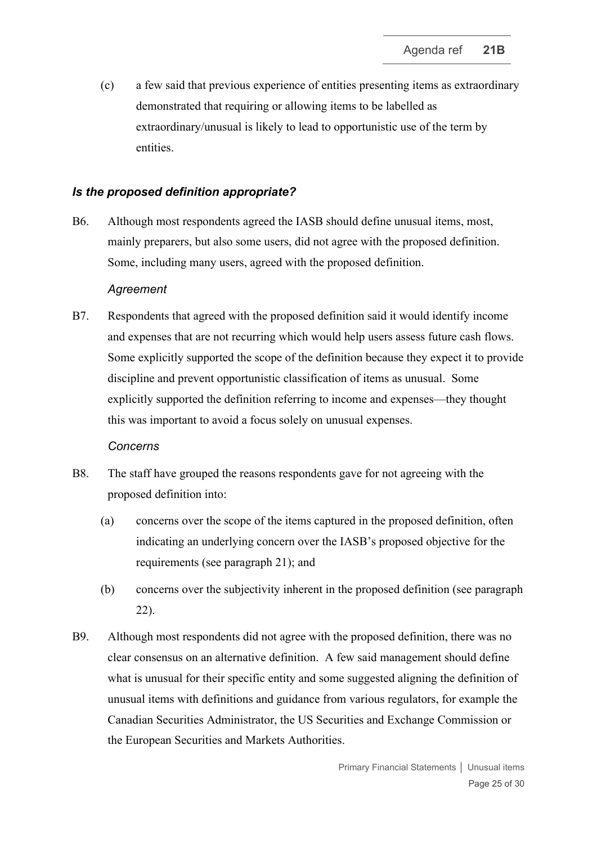(c) a few said that previous experience of entities presenting items as extraordinary demonstrated that requiring or allowing items to be labelled as extraordinary/unusual is likely to lead to opportunistic use of the term by entities.

# *Is the proposed definition appropriate?*

B6. Although most respondents agreed the IASB should define unusual items, most, mainly preparers, but also some users, did not agree with the proposed definition. Some, including many users, agreed with the proposed definition.

### *Agreement*

B7. Respondents that agreed with the proposed definition said it would identify income and expenses that are not recurring which would help users assess future cash flows. Some explicitly supported the scope of the definition because they expect it to provide discipline and prevent opportunistic classification of items as unusual. Some explicitly supported the definition referring to income and expenses—they thought this was important to avoid a focus solely on unusual expenses.

### *Concerns*

- B8. The staff have grouped the reasons respondents gave for not agreeing with the proposed definition into:
	- (a) concerns over the scope of the items captured in the proposed definition, often indicating an underlying concern over the IASB's proposed objective for the requirements (see paragraph [21\)](#page-7-3); and
	- (b) concerns over the subjectivity inherent in the proposed definition (see paragraph [22\)](#page-7-2).
- B9. Although most respondents did not agree with the proposed definition, there was no clear consensus on an alternative definition. A few said management should define what is unusual for their specific entity and some suggested aligning the definition of unusual items with definitions and guidance from various regulators, for example the Canadian Securities Administrator, the US Securities and Exchange Commission or the European Securities and Markets Authorities.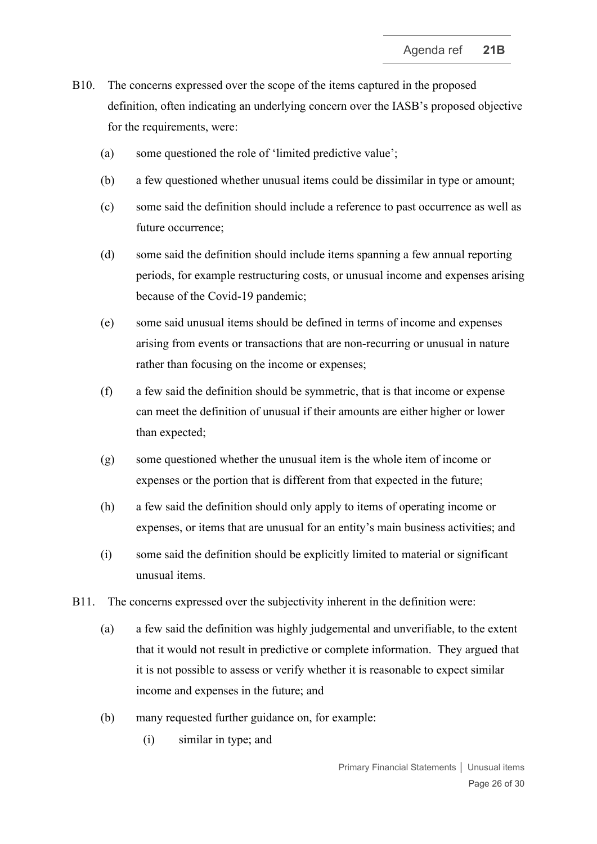- B10. The concerns expressed over the scope of the items captured in the proposed definition, often indicating an underlying concern over the IASB's proposed objective for the requirements, were:
	- (a) some questioned the role of 'limited predictive value';
	- (b) a few questioned whether unusual items could be dissimilar in type or amount;
	- (c) some said the definition should include a reference to past occurrence as well as future occurrence;
	- (d) some said the definition should include items spanning a few annual reporting periods, for example restructuring costs, or unusual income and expenses arising because of the Covid-19 pandemic;
	- (e) some said unusual items should be defined in terms of income and expenses arising from events or transactions that are non-recurring or unusual in nature rather than focusing on the income or expenses;
	- (f) a few said the definition should be symmetric, that is that income or expense can meet the definition of unusual if their amounts are either higher or lower than expected;
	- (g) some questioned whether the unusual item is the whole item of income or expenses or the portion that is different from that expected in the future;
	- (h) a few said the definition should only apply to items of operating income or expenses, or items that are unusual for an entity's main business activities; and
	- (i) some said the definition should be explicitly limited to material or significant unusual items.
- B11. The concerns expressed over the subjectivity inherent in the definition were:
	- (a) a few said the definition was highly judgemental and unverifiable, to the extent that it would not result in predictive or complete information. They argued that it is not possible to assess or verify whether it is reasonable to expect similar income and expenses in the future; and
	- (b) many requested further guidance on, for example:
		- (i) similar in type; and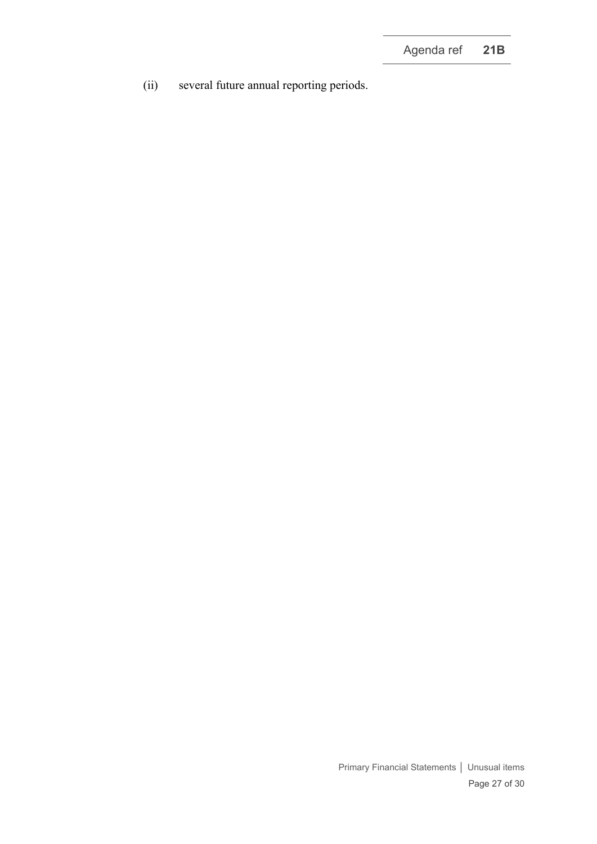(ii) several future annual reporting periods.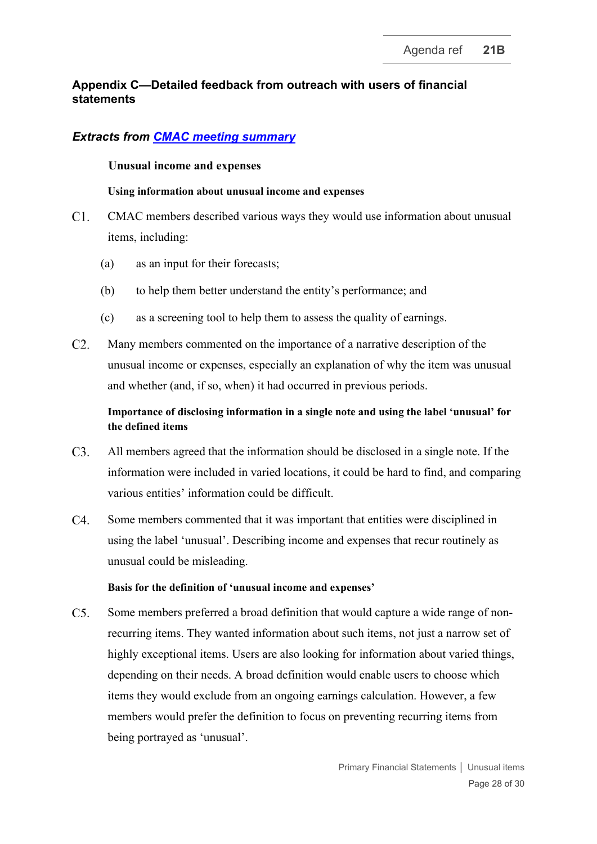# **Appendix C—Detailed feedback from outreach with users of financial statements**

# *Extracts from [CMAC meeting summary](https://www.ifrs.org/content/dam/ifrs/meetings/2022/march/cmac/cmac-meeting-summary-march-2022.pdf)*

### **Unusual income and expenses**

### **Using information about unusual income and expenses**

- $C1$ . CMAC members described various ways they would use information about unusual items, including:
	- (a) as an input for their forecasts;
	- (b) to help them better understand the entity's performance; and
	- (c) as a screening tool to help them to assess the quality of earnings.
- $C2.$ Many members commented on the importance of a narrative description of the unusual income or expenses, especially an explanation of why the item was unusual and whether (and, if so, when) it had occurred in previous periods.

# **Importance of disclosing information in a single note and using the label 'unusual' for the defined items**

- $C3.$ All members agreed that the information should be disclosed in a single note. If the information were included in varied locations, it could be hard to find, and comparing various entities' information could be difficult.
- $C4.$ Some members commented that it was important that entities were disciplined in using the label 'unusual'. Describing income and expenses that recur routinely as unusual could be misleading.

### **Basis for the definition of 'unusual income and expenses'**

 $C<sub>5</sub>$ . Some members preferred a broad definition that would capture a wide range of nonrecurring items. They wanted information about such items, not just a narrow set of highly exceptional items. Users are also looking for information about varied things, depending on their needs. A broad definition would enable users to choose which items they would exclude from an ongoing earnings calculation. However, a few members would prefer the definition to focus on preventing recurring items from being portrayed as 'unusual'.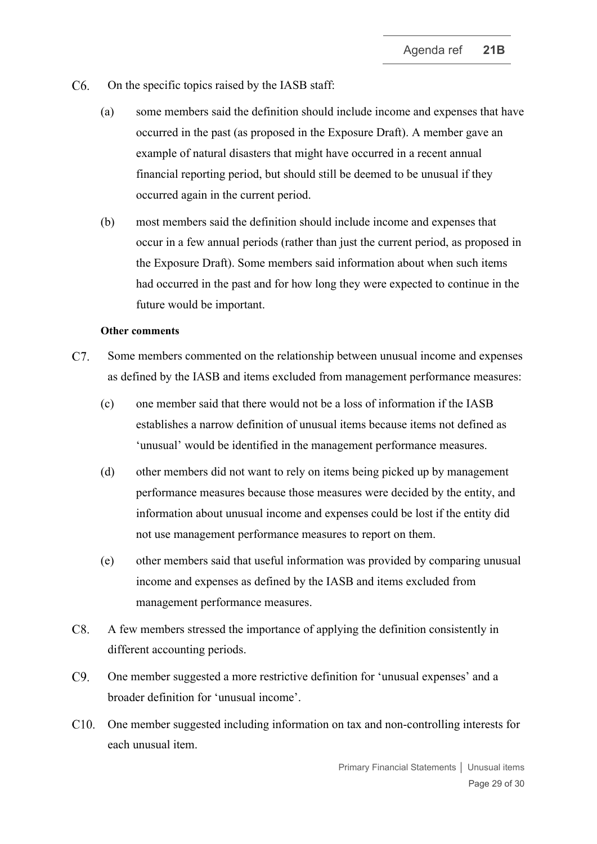- $C6.$ On the specific topics raised by the IASB staff:
	- (a) some members said the definition should include income and expenses that have occurred in the past (as proposed in the Exposure Draft). A member gave an example of natural disasters that might have occurred in a recent annual financial reporting period, but should still be deemed to be unusual if they occurred again in the current period.
	- (b) most members said the definition should include income and expenses that occur in a few annual periods (rather than just the current period, as proposed in the Exposure Draft). Some members said information about when such items had occurred in the past and for how long they were expected to continue in the future would be important.

#### **Other comments**

- $C7.$ Some members commented on the relationship between unusual income and expenses as defined by the IASB and items excluded from management performance measures:
	- (c) one member said that there would not be a loss of information if the IASB establishes a narrow definition of unusual items because items not defined as 'unusual' would be identified in the management performance measures.
	- (d) other members did not want to rely on items being picked up by management performance measures because those measures were decided by the entity, and information about unusual income and expenses could be lost if the entity did not use management performance measures to report on them.
	- (e) other members said that useful information was provided by comparing unusual income and expenses as defined by the IASB and items excluded from management performance measures.
- $C8.$ A few members stressed the importance of applying the definition consistently in different accounting periods.
- $C9.$ One member suggested a more restrictive definition for 'unusual expenses' and a broader definition for 'unusual income'.
- C10. One member suggested including information on tax and non-controlling interests for each unusual item.